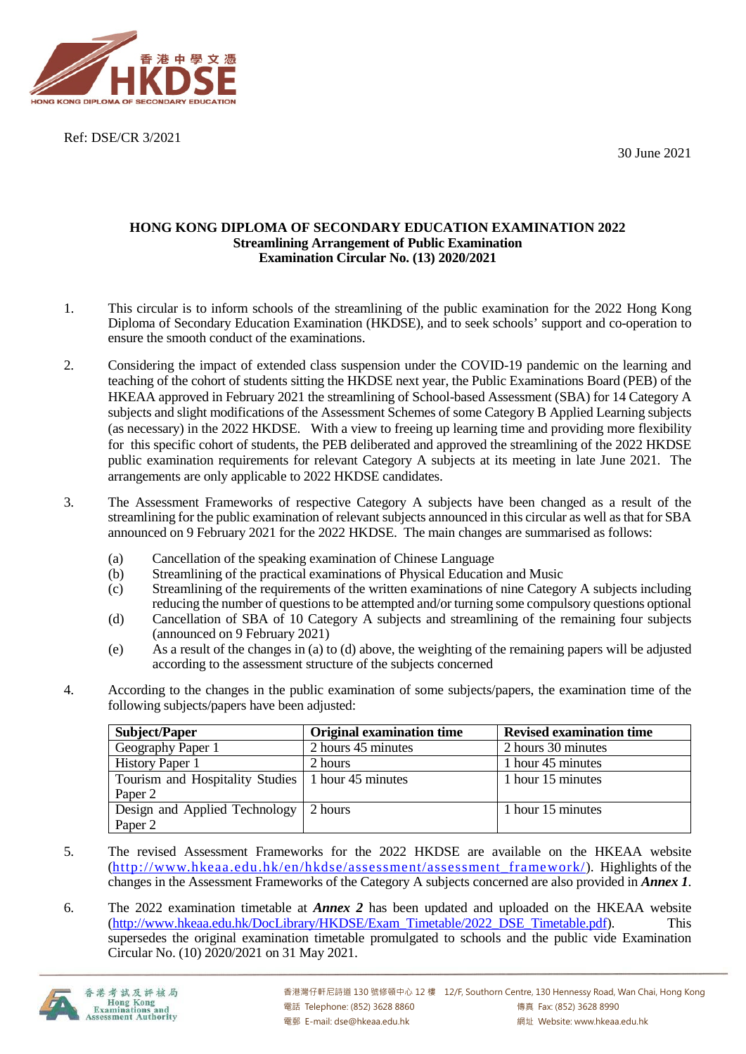30 June 2021



Ref: DSE/CR 3/2021

### **HONG KONG DIPLOMA OF SECONDARY EDUCATION EXAMINATION 2022 Streamlining Arrangement of Public Examination Examination Circular No. (13) 2020/2021**

- 1. This circular is to inform schools of the streamlining of the public examination for the 2022 Hong Kong Diploma of Secondary Education Examination (HKDSE), and to seek schools' support and co-operation to ensure the smooth conduct of the examinations.
- 2. Considering the impact of extended class suspension under the COVID-19 pandemic on the learning and teaching of the cohort of students sitting the HKDSE next year, the Public Examinations Board (PEB) of the HKEAA approved in February 2021 the streamlining of School-based Assessment (SBA) for 14 Category A subjects and slight modifications of the Assessment Schemes of some Category B Applied Learning subjects (as necessary) in the 2022 HKDSE. With a view to freeing up learning time and providing more flexibility for this specific cohort of students, the PEB deliberated and approved the streamlining of the 2022 HKDSE public examination requirements for relevant Category A subjects at its meeting in late June 2021. The arrangements are only applicable to 2022 HKDSE candidates.
- 3. The Assessment Frameworks of respective Category A subjects have been changed as a result of the streamlining for the public examination of relevant subjects announced in this circular as well asthat for SBA announced on 9 February 2021 for the 2022 HKDSE. The main changes are summarised as follows:
	- (a) Cancellation of the speaking examination of Chinese Language
	- (b) Streamlining of the practical examinations of Physical Education and Music
	- (c) Streamlining of the requirements of the written examinations of nine Category A subjects including reducing the number of questions to be attempted and/or turning some compulsory questions optional
	- (d) Cancellation of SBA of 10 Category A subjects and streamlining of the remaining four subjects (announced on 9 February 2021)
	- (e) As a result of the changes in (a) to (d) above, the weighting of the remaining papers will be adjusted according to the assessment structure of the subjects concerned
- 4. According to the changes in the public examination of some subjects/papers, the examination time of the following subjects/papers have been adjusted:

| <b>Subject/Paper</b>                                | <b>Original examination time</b> | <b>Revised examination time</b> |
|-----------------------------------------------------|----------------------------------|---------------------------------|
| Geography Paper 1                                   | 2 hours 45 minutes               | 2 hours 30 minutes              |
| <b>History Paper 1</b>                              | 2 hours                          | 1 hour 45 minutes               |
| Tourism and Hospitality Studies   1 hour 45 minutes |                                  | 1 hour 15 minutes               |
| Paper 2                                             |                                  |                                 |
| Design and Applied Technology                       | 2 hours                          | 1 hour 15 minutes               |
| Paper 2                                             |                                  |                                 |

- 5. The revised Assessment Frameworks for the 2022 HKDSE are available on the HKEAA website [\(http://www.hkeaa.edu.hk/en/hkdse/assessment/assessment\\_framework/\)](http://www.hkeaa.edu.hk/en/hkdse/assessment/assessment_framework/). Highlights of the changes in the Assessment Frameworks of the Category A subjects concerned are also provided in *Annex 1*.
- 6. The 2022 examination timetable at *Annex 2* has been updated and uploaded on the HKEAA website [\(http://www.hkeaa.edu.hk/DocLibrary/HKDSE/Exam\\_Timetable/2022\\_DSE\\_Timetable.pdf\)](http://www.hkeaa.edu.hk/DocLibrary/HKDSE/Exam_Timetable/2022_DSE_Timetable.pdf). This supersedes the original examination timetable promulgated to schools and the public vide Examination Circular No. (10) 2020/2021 on 31 May 2021.

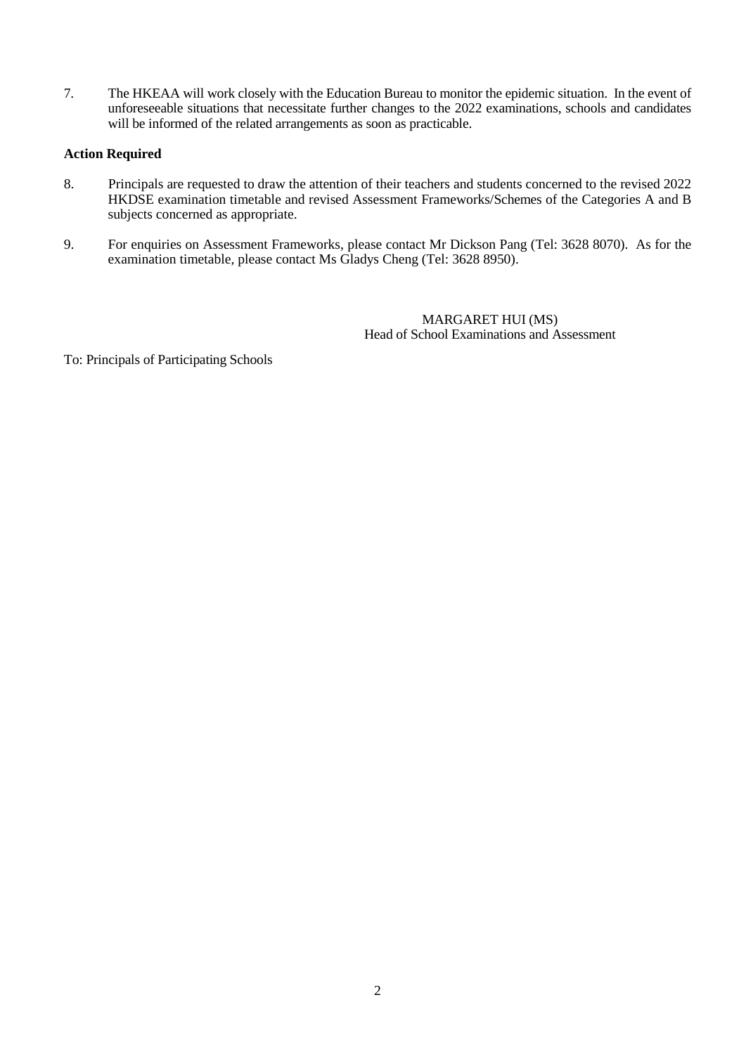7. The HKEAA will work closely with the Education Bureau to monitor the epidemic situation. In the event of unforeseeable situations that necessitate further changes to the 2022 examinations, schools and candidates will be informed of the related arrangements as soon as practicable.

## **Action Required**

- 8. Principals are requested to draw the attention of their teachers and students concerned to the revised 2022 HKDSE examination timetable and revised Assessment Frameworks/Schemes of the Categories A and B subjects concerned as appropriate.
- 9. For enquiries on Assessment Frameworks, please contact Mr Dickson Pang (Tel: 3628 8070). As for the examination timetable, please contact Ms Gladys Cheng (Tel: 3628 8950).

MARGARET HUI (MS) Head of School Examinations and Assessment

To: Principals of Participating Schools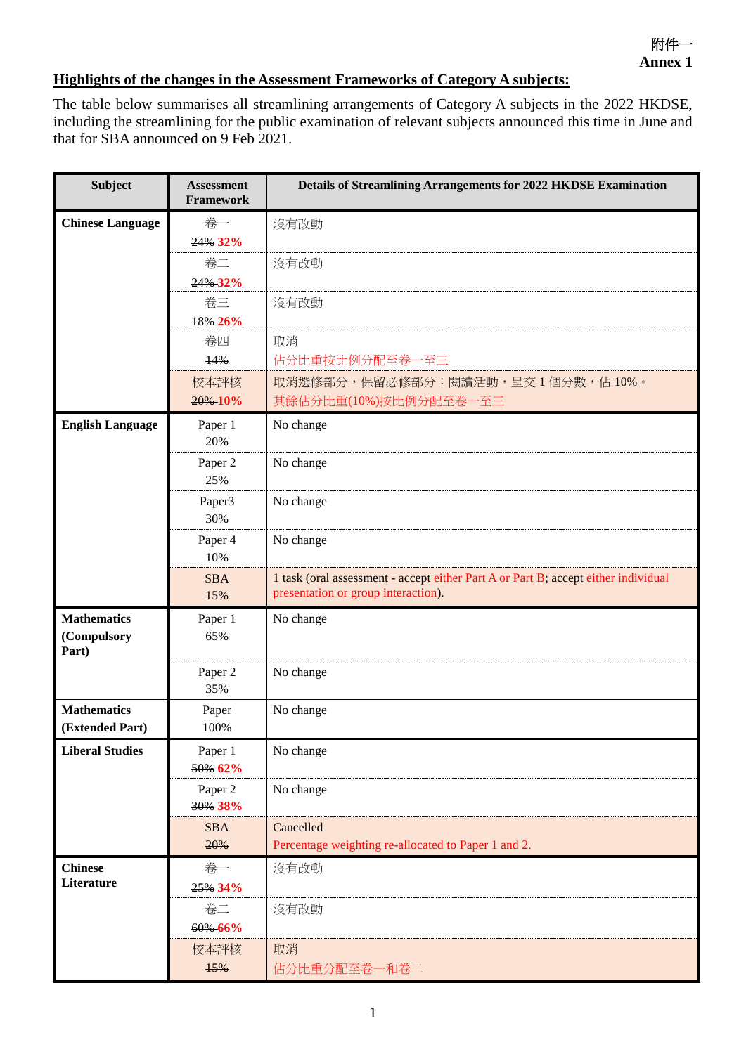# **Highlights of the changes in the Assessment Frameworks of Category A subjects:**

The table below summarises all streamlining arrangements of Category A subjects in the 2022 HKDSE, including the streamlining for the public examination of relevant subjects announced this time in June and that for SBA announced on 9 Feb 2021.

| <b>Subject</b>                             | <b>Assessment</b><br><b>Framework</b> | Details of Streamlining Arrangements for 2022 HKDSE Examination                                                           |
|--------------------------------------------|---------------------------------------|---------------------------------------------------------------------------------------------------------------------------|
| <b>Chinese Language</b>                    | 卷一<br>24% 32%                         | 沒有改動                                                                                                                      |
|                                            | 卷二                                    | 沒有改動                                                                                                                      |
|                                            | 24%-32%                               |                                                                                                                           |
|                                            | 卷三                                    | 沒有改動                                                                                                                      |
|                                            | $18\% - 26\%$                         |                                                                                                                           |
|                                            | 卷四                                    | 取消                                                                                                                        |
|                                            | 14%                                   | 佔分比重按比例分配至卷一至三                                                                                                            |
|                                            | 校本評核                                  | 取消選修部分,保留必修部分:閱讀活動,呈交1個分數,佔10%。                                                                                           |
|                                            | 20%-10%                               | 其餘佔分比重(10%)按比例分配至卷一至三                                                                                                     |
| <b>English Language</b>                    | Paper 1<br>20%                        | No change                                                                                                                 |
|                                            | Paper 2<br>25%                        | No change                                                                                                                 |
|                                            | Paper3<br>30%                         | No change                                                                                                                 |
|                                            | Paper 4<br>10%                        | No change                                                                                                                 |
|                                            | <b>SBA</b><br>15%                     | 1 task (oral assessment - accept either Part A or Part B; accept either individual<br>presentation or group interaction). |
| <b>Mathematics</b><br>(Compulsory<br>Part) | Paper 1<br>65%                        | No change                                                                                                                 |
|                                            | Paper 2<br>35%                        | No change                                                                                                                 |
| <b>Mathematics</b><br>(Extended Part)      | Paper<br>100%                         | No change                                                                                                                 |
| <b>Liberal Studies</b>                     | Paper 1<br>50% 62%                    | No change                                                                                                                 |
|                                            | Paper 2<br>30% 38%                    | No change                                                                                                                 |
|                                            | <b>SBA</b><br>20%                     | Cancelled<br>Percentage weighting re-allocated to Paper 1 and 2.                                                          |
| <b>Chinese</b><br>Literature               | 卷一<br>25% 34%                         | 沒有改動                                                                                                                      |
|                                            | 卷二<br>60%-66%                         | 沒有改動                                                                                                                      |
|                                            | 校本評核<br>15%                           | 取消<br>佔分比重分配至卷一和卷二                                                                                                        |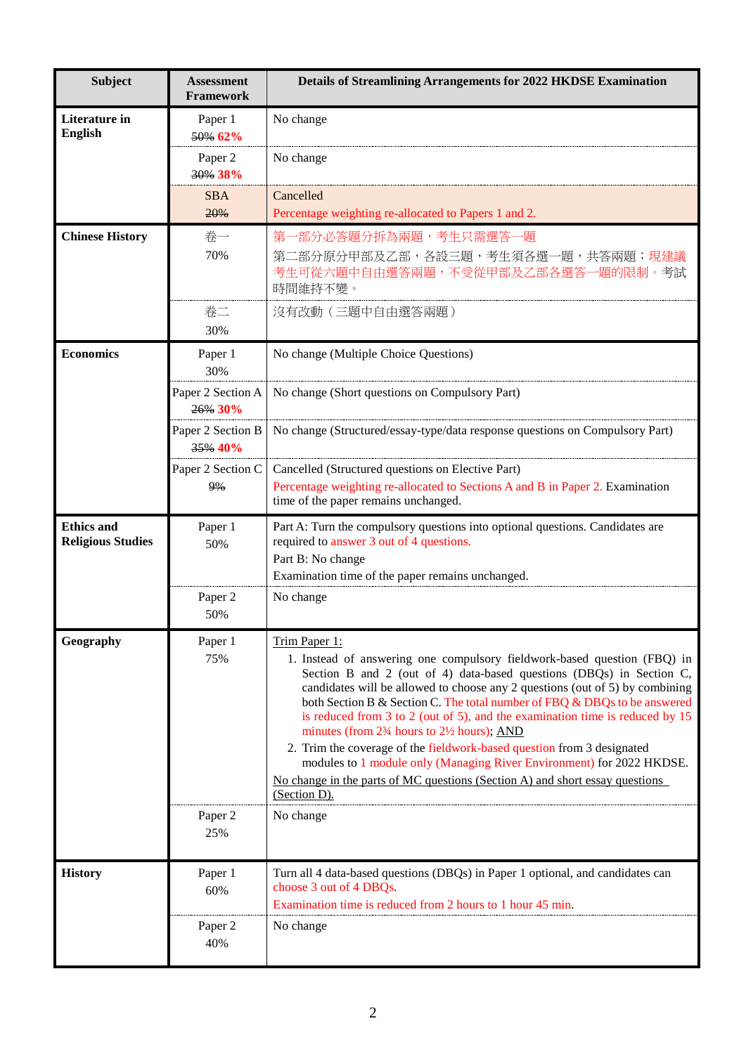| <b>Subject</b>                                | <b>Assessment</b><br><b>Framework</b> | Details of Streamlining Arrangements for 2022 HKDSE Examination                                                                                                                                                                                                                                                                                                                                                                                                                                                                                                                                                                                                                                                                       |
|-----------------------------------------------|---------------------------------------|---------------------------------------------------------------------------------------------------------------------------------------------------------------------------------------------------------------------------------------------------------------------------------------------------------------------------------------------------------------------------------------------------------------------------------------------------------------------------------------------------------------------------------------------------------------------------------------------------------------------------------------------------------------------------------------------------------------------------------------|
| Literature in<br><b>English</b>               | Paper 1<br>50% 62%                    | No change                                                                                                                                                                                                                                                                                                                                                                                                                                                                                                                                                                                                                                                                                                                             |
|                                               | Paper 2<br>30% 38%                    | No change                                                                                                                                                                                                                                                                                                                                                                                                                                                                                                                                                                                                                                                                                                                             |
|                                               | <b>SBA</b><br>20%                     | Cancelled<br>Percentage weighting re-allocated to Papers 1 and 2.                                                                                                                                                                                                                                                                                                                                                                                                                                                                                                                                                                                                                                                                     |
| <b>Chinese History</b>                        | 卷一<br>70%                             | 第一部分必答題分拆為兩題,考生只需選答一題<br>第二部分原分甲部及乙部,各設三題,考生須各選一題,共答兩題;現建議<br>考生可從六題中自由選答兩題,不受從甲部及乙部各選答一題的限制。考試<br>時間維持不變。                                                                                                                                                                                                                                                                                                                                                                                                                                                                                                                                                                                                                            |
|                                               | 卷二<br>30%                             | 沒有改動 (三題中自由選答兩題)                                                                                                                                                                                                                                                                                                                                                                                                                                                                                                                                                                                                                                                                                                                      |
| <b>Economics</b>                              | Paper 1<br>30%                        | No change (Multiple Choice Questions)                                                                                                                                                                                                                                                                                                                                                                                                                                                                                                                                                                                                                                                                                                 |
|                                               | Paper 2 Section A<br>26% 30%          | No change (Short questions on Compulsory Part)                                                                                                                                                                                                                                                                                                                                                                                                                                                                                                                                                                                                                                                                                        |
|                                               | Paper 2 Section B<br>35% 40%          | No change (Structured/essay-type/data response questions on Compulsory Part)                                                                                                                                                                                                                                                                                                                                                                                                                                                                                                                                                                                                                                                          |
|                                               | Paper 2 Section C<br>9%               | Cancelled (Structured questions on Elective Part)<br>Percentage weighting re-allocated to Sections A and B in Paper 2. Examination<br>time of the paper remains unchanged.                                                                                                                                                                                                                                                                                                                                                                                                                                                                                                                                                            |
| <b>Ethics and</b><br><b>Religious Studies</b> | Paper 1<br>50%                        | Part A: Turn the compulsory questions into optional questions. Candidates are<br>required to answer 3 out of 4 questions.<br>Part B: No change<br>Examination time of the paper remains unchanged.                                                                                                                                                                                                                                                                                                                                                                                                                                                                                                                                    |
|                                               | Paper 2<br>50%                        | No change                                                                                                                                                                                                                                                                                                                                                                                                                                                                                                                                                                                                                                                                                                                             |
| Geography                                     | Paper 1<br>75%                        | Trim Paper 1:<br>1. Instead of answering one compulsory fieldwork-based question (FBQ) in<br>Section B and 2 (out of 4) data-based questions (DBQs) in Section C,<br>candidates will be allowed to choose any 2 questions (out of 5) by combining<br>both Section B & Section C. The total number of FBQ & DBQs to be answered<br>is reduced from 3 to 2 (out of 5), and the examination time is reduced by 15<br>minutes (from $2\frac{3}{4}$ hours to $2\frac{1}{2}$ hours); AND<br>2. Trim the coverage of the fieldwork-based question from 3 designated<br>modules to 1 module only (Managing River Environment) for 2022 HKDSE.<br>No change in the parts of MC questions (Section A) and short essay questions<br>(Section D). |
|                                               | Paper 2<br>25%                        | No change                                                                                                                                                                                                                                                                                                                                                                                                                                                                                                                                                                                                                                                                                                                             |
| <b>History</b>                                | Paper 1<br>60%                        | Turn all 4 data-based questions (DBQs) in Paper 1 optional, and candidates can<br>choose 3 out of 4 DBQs.<br>Examination time is reduced from 2 hours to 1 hour 45 min.                                                                                                                                                                                                                                                                                                                                                                                                                                                                                                                                                               |
|                                               | Paper 2<br>40%                        | No change                                                                                                                                                                                                                                                                                                                                                                                                                                                                                                                                                                                                                                                                                                                             |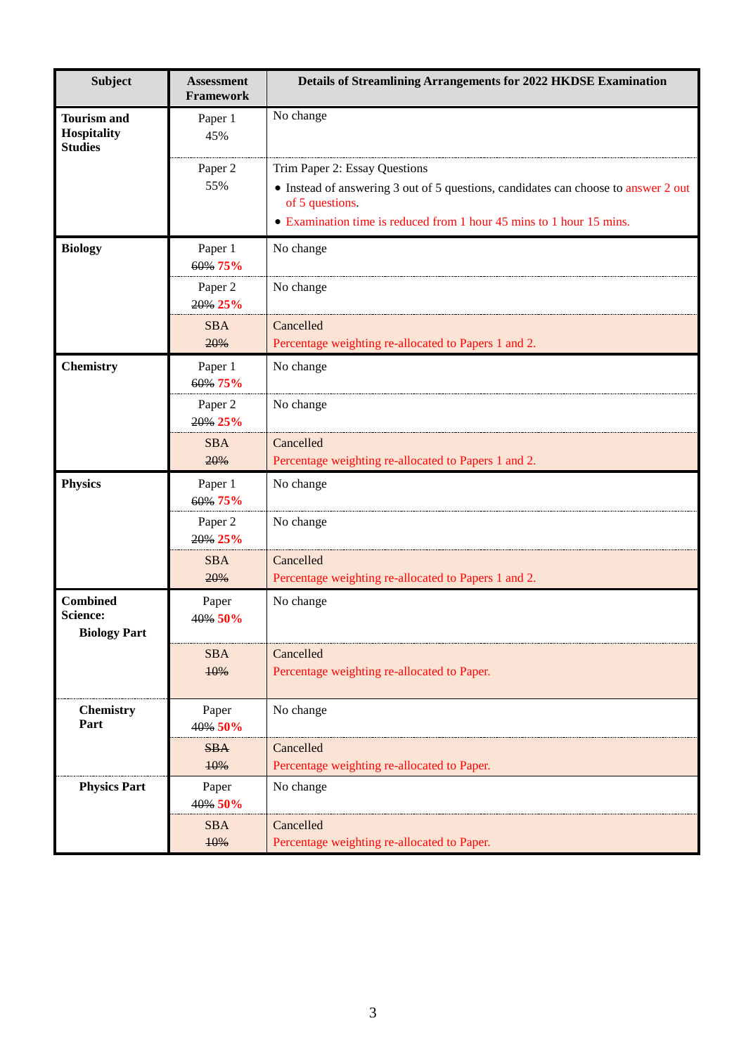| <b>Subject</b>                                             | <b>Assessment</b><br><b>Framework</b> | Details of Streamlining Arrangements for 2022 HKDSE Examination                                                                                                                                                |
|------------------------------------------------------------|---------------------------------------|----------------------------------------------------------------------------------------------------------------------------------------------------------------------------------------------------------------|
| <b>Tourism and</b><br><b>Hospitality</b><br><b>Studies</b> | Paper 1<br>45%                        | No change                                                                                                                                                                                                      |
|                                                            | Paper 2<br>55%                        | Trim Paper 2: Essay Questions<br>• Instead of answering 3 out of 5 questions, candidates can choose to answer 2 out<br>of 5 questions.<br>• Examination time is reduced from 1 hour 45 mins to 1 hour 15 mins. |
| <b>Biology</b>                                             | Paper 1<br>60% 75%                    | No change                                                                                                                                                                                                      |
|                                                            | Paper 2<br>20% 25%                    | No change                                                                                                                                                                                                      |
|                                                            | <b>SBA</b><br>20%                     | Cancelled<br>Percentage weighting re-allocated to Papers 1 and 2.                                                                                                                                              |
| <b>Chemistry</b>                                           | Paper 1<br>60% 75%                    | No change                                                                                                                                                                                                      |
|                                                            | Paper 2<br>20% 25%                    | No change                                                                                                                                                                                                      |
|                                                            | <b>SBA</b><br>20%                     | Cancelled<br>Percentage weighting re-allocated to Papers 1 and 2.                                                                                                                                              |
| <b>Physics</b>                                             | Paper 1<br>60% 75%                    | No change                                                                                                                                                                                                      |
|                                                            | Paper 2<br>20% 25%                    | No change                                                                                                                                                                                                      |
|                                                            | <b>SBA</b><br>20%                     | Cancelled<br>Percentage weighting re-allocated to Papers 1 and 2.                                                                                                                                              |
| <b>Combined</b><br>Science:<br><b>Biology Part</b>         | Paper<br>40% 50%                      | No change                                                                                                                                                                                                      |
|                                                            | <b>SBA</b><br>10%                     | Cancelled<br>Percentage weighting re-allocated to Paper.                                                                                                                                                       |
| <b>Chemistry</b><br>Part                                   | Paper<br>40% 50%                      | No change                                                                                                                                                                                                      |
|                                                            | <b>SBA</b><br>10%                     | Cancelled<br>Percentage weighting re-allocated to Paper.                                                                                                                                                       |
| <b>Physics Part</b>                                        | Paper<br>40% 50%                      | No change                                                                                                                                                                                                      |
|                                                            | <b>SBA</b><br>10%                     | Cancelled<br>Percentage weighting re-allocated to Paper.                                                                                                                                                       |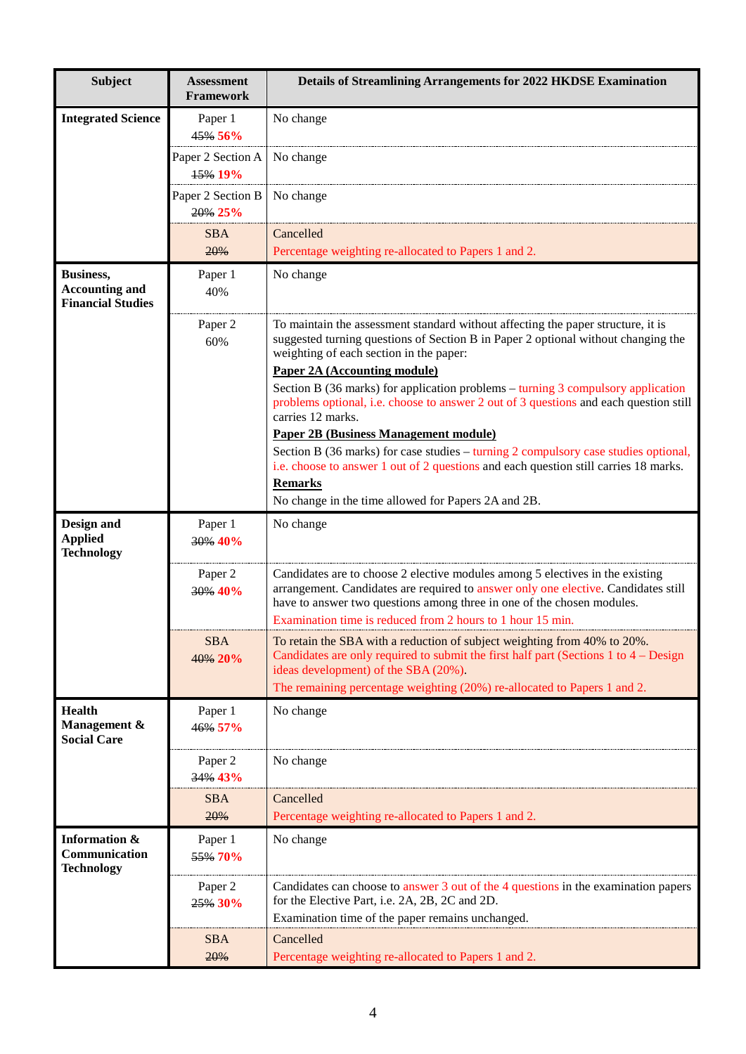| <b>Subject</b>                                                        | <b>Assessment</b><br><b>Framework</b> | Details of Streamlining Arrangements for 2022 HKDSE Examination                                                                                                                                                                                                                                             |
|-----------------------------------------------------------------------|---------------------------------------|-------------------------------------------------------------------------------------------------------------------------------------------------------------------------------------------------------------------------------------------------------------------------------------------------------------|
| <b>Integrated Science</b>                                             | Paper 1<br>45% 56%                    | No change                                                                                                                                                                                                                                                                                                   |
|                                                                       | Paper 2 Section A<br>15% 19%          | No change                                                                                                                                                                                                                                                                                                   |
|                                                                       | Paper 2 Section B<br>20% 25%          | No change                                                                                                                                                                                                                                                                                                   |
|                                                                       | <b>SBA</b><br>20%                     | Cancelled<br>Percentage weighting re-allocated to Papers 1 and 2.                                                                                                                                                                                                                                           |
| <b>Business,</b><br><b>Accounting and</b><br><b>Financial Studies</b> | Paper 1<br>40%                        | No change                                                                                                                                                                                                                                                                                                   |
|                                                                       | Paper 2<br>60%                        | To maintain the assessment standard without affecting the paper structure, it is<br>suggested turning questions of Section B in Paper 2 optional without changing the<br>weighting of each section in the paper:                                                                                            |
|                                                                       |                                       | <b>Paper 2A (Accounting module)</b><br>Section B (36 marks) for application problems $-$ turning 3 compulsory application<br>problems optional, i.e. choose to answer 2 out of 3 questions and each question still<br>carries 12 marks.                                                                     |
|                                                                       |                                       | <b>Paper 2B (Business Management module)</b><br>Section B (36 marks) for case studies – turning 2 compulsory case studies optional,<br>i.e. choose to answer 1 out of 2 questions and each question still carries 18 marks.<br><b>Remarks</b><br>No change in the time allowed for Papers 2A and 2B.        |
|                                                                       |                                       |                                                                                                                                                                                                                                                                                                             |
| Design and<br><b>Applied</b><br><b>Technology</b>                     | Paper 1<br>30% 40%                    | No change                                                                                                                                                                                                                                                                                                   |
|                                                                       | Paper 2<br>30% 40%                    | Candidates are to choose 2 elective modules among 5 electives in the existing<br>arrangement. Candidates are required to answer only one elective. Candidates still<br>have to answer two questions among three in one of the chosen modules.<br>Examination time is reduced from 2 hours to 1 hour 15 min. |
|                                                                       | <b>SBA</b><br>40% 20%                 | To retain the SBA with a reduction of subject weighting from 40% to 20%.<br>Candidates are only required to submit the first half part (Sections 1 to 4 – Design<br>ideas development) of the SBA (20%).<br>The remaining percentage weighting (20%) re-allocated to Papers 1 and 2.                        |
| <b>Health</b><br>Management &<br><b>Social Care</b>                   | Paper 1<br>46% 57%                    | No change                                                                                                                                                                                                                                                                                                   |
|                                                                       | Paper 2<br>34% 43%                    | No change                                                                                                                                                                                                                                                                                                   |
|                                                                       | <b>SBA</b><br>20%                     | Cancelled<br>Percentage weighting re-allocated to Papers 1 and 2.                                                                                                                                                                                                                                           |
| <b>Information &amp;</b><br>Communication<br><b>Technology</b>        | Paper 1<br>55% 70%                    | No change                                                                                                                                                                                                                                                                                                   |
|                                                                       | Paper 2<br>25% 30%                    | Candidates can choose to answer 3 out of the 4 questions in the examination papers<br>for the Elective Part, i.e. 2A, 2B, 2C and 2D.<br>Examination time of the paper remains unchanged.                                                                                                                    |
|                                                                       | <b>SBA</b><br>20%                     | Cancelled<br>Percentage weighting re-allocated to Papers 1 and 2.                                                                                                                                                                                                                                           |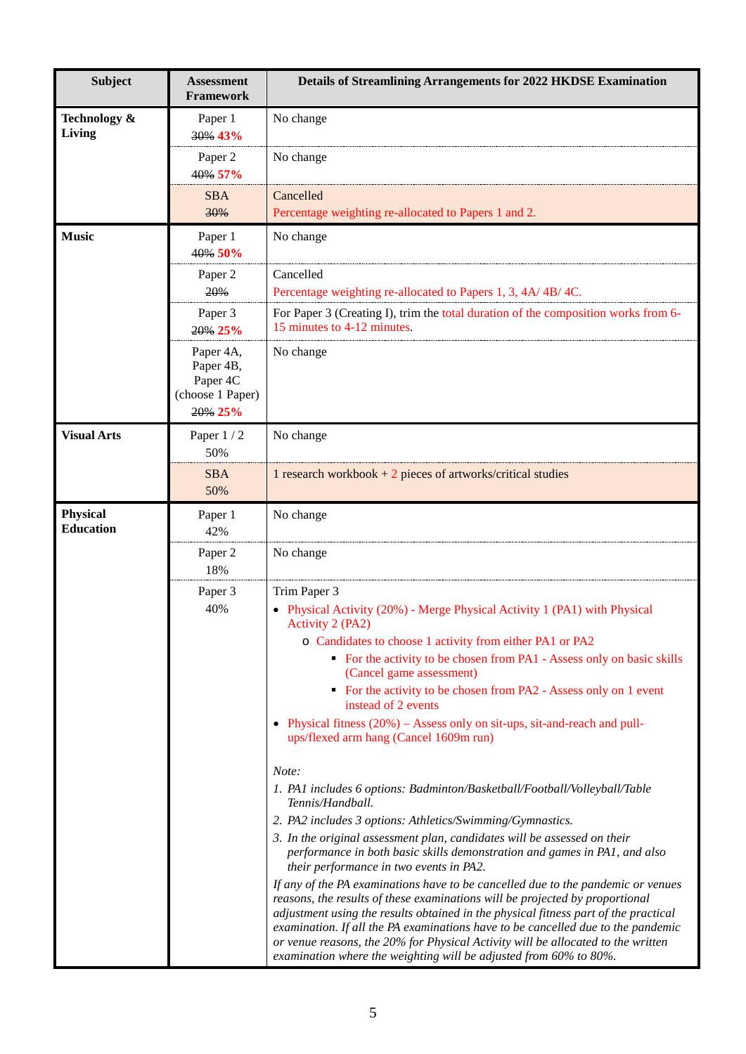| <b>Subject</b>                      | <b>Assessment</b><br><b>Framework</b>                             | Details of Streamlining Arrangements for 2022 HKDSE Examination                                                                                                                                                                                                                                                                                                                                                                                                                                      |
|-------------------------------------|-------------------------------------------------------------------|------------------------------------------------------------------------------------------------------------------------------------------------------------------------------------------------------------------------------------------------------------------------------------------------------------------------------------------------------------------------------------------------------------------------------------------------------------------------------------------------------|
| Technology &<br>Living              | Paper 1<br>30% 43%                                                | No change                                                                                                                                                                                                                                                                                                                                                                                                                                                                                            |
|                                     | Paper 2<br>40% 57%                                                | No change                                                                                                                                                                                                                                                                                                                                                                                                                                                                                            |
|                                     | <b>SBA</b><br>30%                                                 | Cancelled<br>Percentage weighting re-allocated to Papers 1 and 2.                                                                                                                                                                                                                                                                                                                                                                                                                                    |
| <b>Music</b>                        | Paper 1<br>40% 50%                                                | No change                                                                                                                                                                                                                                                                                                                                                                                                                                                                                            |
|                                     | Paper 2<br>20%                                                    | Cancelled<br>Percentage weighting re-allocated to Papers 1, 3, 4A/4B/4C.                                                                                                                                                                                                                                                                                                                                                                                                                             |
|                                     | Paper 3<br>20% 25%                                                | For Paper 3 (Creating I), trim the total duration of the composition works from 6-<br>15 minutes to 4-12 minutes.                                                                                                                                                                                                                                                                                                                                                                                    |
|                                     | Paper 4A,<br>Paper 4B,<br>Paper 4C<br>(choose 1 Paper)<br>20% 25% | No change                                                                                                                                                                                                                                                                                                                                                                                                                                                                                            |
| <b>Visual Arts</b>                  | Paper 1/2<br>50%                                                  | No change                                                                                                                                                                                                                                                                                                                                                                                                                                                                                            |
|                                     | <b>SBA</b><br>50%                                                 | 1 research workbook $+2$ pieces of artworks/critical studies                                                                                                                                                                                                                                                                                                                                                                                                                                         |
| <b>Physical</b><br><b>Education</b> | Paper 1<br>42%                                                    | No change                                                                                                                                                                                                                                                                                                                                                                                                                                                                                            |
|                                     | Paper 2<br>18%                                                    | No change                                                                                                                                                                                                                                                                                                                                                                                                                                                                                            |
|                                     | Paper 3<br>40%                                                    | Trim Paper 3<br>• Physical Activity (20%) - Merge Physical Activity 1 (PA1) with Physical                                                                                                                                                                                                                                                                                                                                                                                                            |
|                                     |                                                                   | Activity 2 (PA2)                                                                                                                                                                                                                                                                                                                                                                                                                                                                                     |
|                                     |                                                                   | o Candidates to choose 1 activity from either PA1 or PA2<br>• For the activity to be chosen from PA1 - Assess only on basic skills<br>(Cancel game assessment)                                                                                                                                                                                                                                                                                                                                       |
|                                     |                                                                   | • For the activity to be chosen from PA2 - Assess only on 1 event<br>instead of 2 events                                                                                                                                                                                                                                                                                                                                                                                                             |
|                                     |                                                                   | • Physical fitness $(20\%)$ – Assess only on sit-ups, sit-and-reach and pull-<br>ups/flexed arm hang (Cancel 1609m run)                                                                                                                                                                                                                                                                                                                                                                              |
|                                     |                                                                   | Note:<br>1. PA1 includes 6 options: Badminton/Basketball/Football/Volleyball/Table<br>Tennis/Handball.                                                                                                                                                                                                                                                                                                                                                                                               |
|                                     |                                                                   | 2. PA2 includes 3 options: Athletics/Swimming/Gymnastics.<br>3. In the original assessment plan, candidates will be assessed on their<br>performance in both basic skills demonstration and games in PA1, and also<br>their performance in two events in PA2.                                                                                                                                                                                                                                        |
|                                     |                                                                   | If any of the PA examinations have to be cancelled due to the pandemic or venues<br>reasons, the results of these examinations will be projected by proportional<br>adjustment using the results obtained in the physical fitness part of the practical<br>examination. If all the PA examinations have to be cancelled due to the pandemic<br>or venue reasons, the 20% for Physical Activity will be allocated to the written<br>examination where the weighting will be adjusted from 60% to 80%. |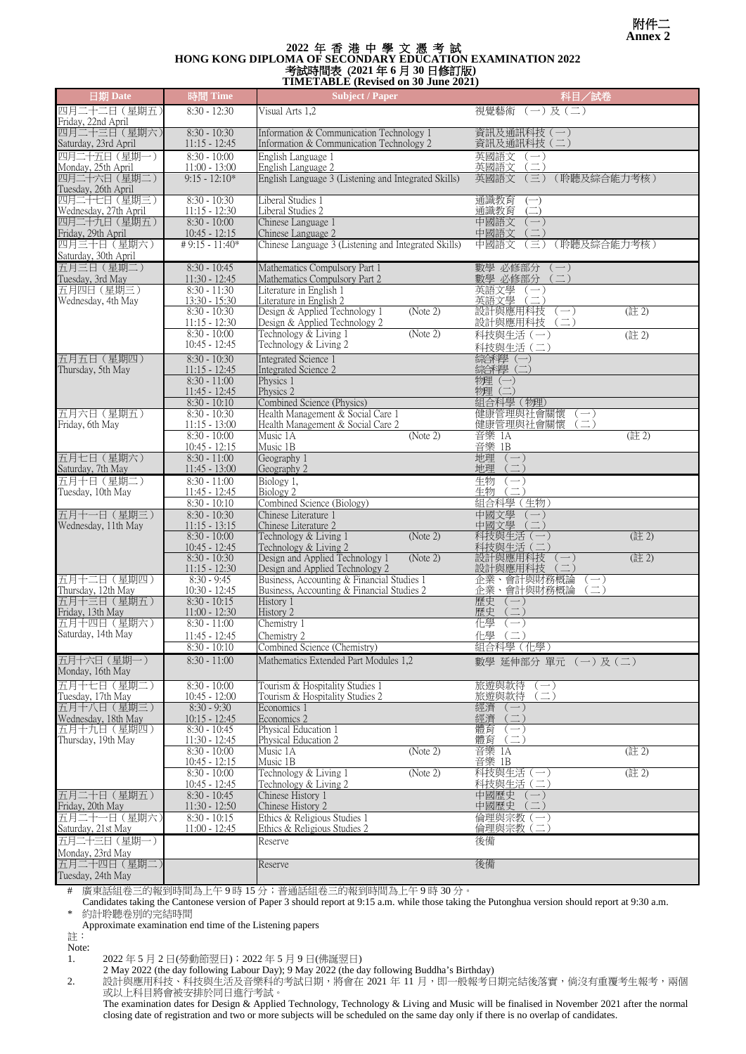### **Annex 2 2022** <sup>年</sup> <sup>香</sup> <sup>港</sup> <sup>中</sup> <sup>學</sup> <sup>文</sup> <sup>憑</sup> <sup>考</sup> <sup>試</sup> **HONG KONG DIPLOMA OF SECONDARY EDUCATION EXAMINATION 2022** 考試時間表 (**2021** 年 **6** 月 **30** 日修訂版**) TIMETABLE (Revised on 30 June 2021)**

| 日期 Date                                                          | 時間 Time                           | <b>Subject / Paper</b>                                                                   | 科目/試卷                                              |
|------------------------------------------------------------------|-----------------------------------|------------------------------------------------------------------------------------------|----------------------------------------------------|
| 四月二十二日(星期五)<br>Friday, 22nd April                                | $8:30 - 12:30$                    | Visual Arts 1,2                                                                          | 視覺藝術 (一)及(二)                                       |
| 四月二十三日 (星期六)<br>Saturday, 23rd April                             | $8:30 - 10:30$<br>$11:15 - 12:45$ | Information & Communication Technology 1<br>Information & Communication Technology 2     | 資訊及通訊科技 (一)<br>資訊及通訊科技 (二)                         |
| 四月二十五日 (星期一)                                                     | $8:30 - 10:00$<br>$11:00 - 13:00$ | English Language 1<br>English Language 2                                                 | 英國語文<br>$(-)$<br>英國語文                              |
| <u>Monday, 25th April</u><br>四月二十六日 (星期二)<br>Tuesday, 26th April | $9:15 - 12:10*$                   | English Language 3 (Listening and Integrated Skills)                                     | $(\equiv)$<br>英國語文<br>(聆聽及綜合能力考核)                  |
| 四月二十七日(星期三)<br>Wednesday, 27th April                             | $8:30 - 10:30$<br>$11:15 - 12:30$ | Liberal Studies 1<br>Liberal Studies 2                                                   | 通識教育<br>$(-)$<br>通識教育<br>$\left(\square\right)$    |
| 四月二十九日 (星期五)<br>Friday, 29th April                               | $8:30 - 10:00$<br>$10:45 - 12:15$ | Chinese Language 1<br>Chinese Language 2                                                 | 中國語文<br>$(-)$<br>中國語文                              |
| 四月三十日 (星期六)<br>Saturday, 30th April                              | $\#9:15 - 11:40*$                 | Chinese Language 3 (Listening and Integrated Skills)                                     | 中國語文<br>(聆聽及綜合能力考核)<br>$(\equiv)$                  |
| 五月三日 (星期二)<br>Tuesday, 3rd May                                   | $8:30 - 10:45$<br>$11:30 - 12:45$ | Mathematics Compulsory Part 1<br>Mathematics Compulsory Part 2                           | 數學 必修部分<br>$(-)$<br>數學 必修部分                        |
| 五月四日(星期三)<br>Wednesday, 4th May                                  | $8:30 - 11:30$<br>$13:30 - 15:30$ | Literature in English 1<br>Literature in English 2                                       | 英語文學<br>$(-)$<br>英語文學<br>$\left(\equiv\right)$     |
|                                                                  | $8:30 - 10:30$                    | (Note 2)<br>Design & Applied Technology 1                                                | 設計與應用科技<br>(註2)<br>$(-)$                           |
|                                                                  | $11:15 - 12:30$<br>$8:30 - 10:00$ | Design & Applied Technology 2<br>(Note 2)<br>Technology & Living 1                       | 設計與應用科技<br>$\equiv$ )<br>科技與生活 (一)<br>(註2)         |
|                                                                  | $10:45 - 12:45$                   | Technology & Living 2                                                                    | 科技與生活 (二)                                          |
| 五月五日 (星期四)<br>Thursday, 5th May                                  | $8:30 - 10:30$<br>11:15 - 12:45   | Integrated Science 1<br>Integrated Science 2                                             | 綜評學(一)<br>綜舒學 (二)                                  |
|                                                                  | $8:30 - 11:00$                    | Physics 1<br>Physics 2                                                                   | 物理(一)<br>物理(二)                                     |
|                                                                  | $11:45 - 12:45$<br>$8:30 - 10:10$ | Combined Science (Physics)                                                               | 組合科學 (物理)                                          |
| 五月六日 (星期五)<br>Friday, 6th May                                    | $8:30 - 10:30$                    | Health Management & Social Care 1<br>Health Management & Social Care 2                   | 健康管理與社會關懷<br>$(-)$<br>健康管理與社會關懷                    |
|                                                                  | $11:15 - 13:00$<br>$8:30 - 10:00$ | Music 1A<br>(Note 2)                                                                     | 音樂 1A<br>(註2)                                      |
| 五月七日 (星期六)                                                       | $10:45 - 12:15$<br>$8:30 - 11:00$ | Music 1B<br>Geography 1                                                                  | 音樂 1B<br>地理 (一)                                    |
| Saturday, 7th May                                                | $11:45 - 13:00$                   | Geography 2                                                                              | $\left(\equiv\right)$<br>地理                        |
| 五月十日 (星期二)<br>Tuesday, 10th May                                  | $8:30 - 11:00$<br>11:45 - 12:45   | Biology 1,<br>Biology 2                                                                  | $\begin{pmatrix} - \\ - \end{pmatrix}$<br>生物<br>生物 |
|                                                                  | $8:30 - 10:10$                    | Combined Science (Biology)                                                               | 組合科學 (生物)                                          |
| 五月十一日 (星期三)<br>Wednesday, 11th May                               | $8:30 - 10:30$<br>$11:15 - 13:15$ | Chinese Literature 1<br>Chinese Literature 2                                             | 中國文學 (一)<br>中國文學                                   |
|                                                                  | $8:30 - 10:00$<br>$10:45 - 12:45$ | Technology & Living 1<br>(Note 2)<br>Technology & Living 2                               | (註2)<br>科技與生活 (一)<br>科技與生活 (二)                     |
|                                                                  | $8:30 - 10:30$<br>$11:15 - 12:30$ | Design and Applied Technology 1<br>(Note 2)<br>Design and Applied Technology 2           | 設計與應用科技<br>(註2)<br>$\rightarrow)$<br>設計與應用科技<br>三) |
| 五月十二日 (星期四)<br>Thursday, 12th May                                | $8:30 - 9:45$<br>10:30 - 12:45    | Business, Accounting & Financial Studies 1<br>Business, Accounting & Financial Studies 2 | 企業、會計與財務概論<br>$(-)$<br>企業、會計與財務概論                  |
| 五月十三日 (星期五)                                                      | $8:30 - 10:15$                    | History 1                                                                                | 歷史<br>$(-)$<br>$\hat{C}$<br>歷史                     |
| Friday, 13th May<br>五月十四日 (星期六)                                  | $11:00 - 12:30$<br>$8:30 - 11:00$ | History 2<br>Chemistry 1                                                                 | 化學<br>$(-)$                                        |
| Saturday, 14th May                                               | $11:45 - 12:45$                   | Chemistry 2                                                                              |                                                    |
| 五月十六日 (星期一)                                                      | $8:30 - 10:10$<br>$8:30 - 11:00$  | Combined Science (Chemistry)<br>Mathematics Extended Part Modules 1,2                    | 組合科學 (化學)<br>數學 延伸部分 單元 (一)及(二)                    |
| Monday, 16th May                                                 |                                   |                                                                                          |                                                    |
| 五月十七日(星期二)<br>Tuesday, 17th May                                  | $8:30 - 10:00$<br>$10:45 - 12:00$ | Tourism & Hospitality Studies 1<br>Tourism & Hospitality Studies 2                       | 旅遊與款待 (一)<br>旅遊與款待 (二)                             |
| 五月十八日 (星期三)                                                      | $8:30 - 9:30$                     | Economics 1                                                                              | 經濟<br>$(-)$                                        |
| Wednesday, 18th May<br>五月十九日(星期四)                                | 10:15 - 12:45<br>$8:30 - 10:45$   | Economics 2<br>Physical Education 1                                                      | 經濟 (二)<br>體育 (一)                                   |
| Thursday, 19th May                                               | 11:30 - 12:45<br>$8:30 - 10:00$   | Physical Education 2<br>(Note 2)<br>Music 1A                                             | 體育 (二)<br>音樂 1A<br>(註2)                            |
|                                                                  | $10:45 - 12:15$                   | Music 1B                                                                                 | 音樂 1B                                              |
|                                                                  | $8:30 - 10:00$<br>$10:45 - 12:45$ | Technology & Living 1<br>(Note 2)<br>Technology & Living 2                               | 科技與生活 (一)<br>(註2)<br>科技與生活 (二)                     |
| 五月二十日 (星期五)<br>Friday, 20th May                                  | $8:30 - 10:45$                    | Chinese History 1<br>Chinese History 2                                                   | 中國歷史<br>$(-)$<br>中國歷史<br>$\equiv$ )                |
| 五月二十一日 (星期六)                                                     | $11:30 - 12:50$<br>$8:30 - 10:15$ | Ethics & Religious Studies 1                                                             | 倫理與宗教 (一)                                          |
| Saturday, 21st May<br>五月二十三日(星期一)                                | $11:00 - 12:45$                   | Ethics & Religious Studies 2                                                             | 倫理與宗教(二)                                           |
| Monday, 23rd May                                                 |                                   | Reserve                                                                                  | 後備                                                 |
| 五月二十四日(星期二)                                                      |                                   | Reserve                                                                                  | 後備                                                 |
| Tuesday, 24th May                                                |                                   |                                                                                          |                                                    |

# 廣東話組卷三的報到時間為上午 9 時 15 分;普通話組卷三的報到時間為上午 9 時 30 分。

Candidates taking the Cantonese version of Paper 3 should report at 9:15 a.m. while those taking the Putonghua version should report at 9:30 a.m. \* 約計聆聽卷別的完結時間

Approximate examination end time of the Listening papers 註:

Note:<br>1. 1. 2022 年 5 月 2 日(勞動節翌日);2022 年 5 月 9 日(佛誕翌日)

2 May 2022 (the day following Labour Day); 9 May 2022 (the day following Buddha's Birthday)

2. 設計與應用科技、科技與生活及音樂科的考試日期,將會在 2021 年 11 月,即一般報考日期完結後落實,倘沒有重覆考生報考,兩個 或以上科目將會被安排於同日進行考試。

The examination dates for Design & Applied Technology, Technology & Living and Music will be finalised in November 2021 after the normal closing date of registration and two or more subjects will be scheduled on the same day only if there is no overlap of candidates.